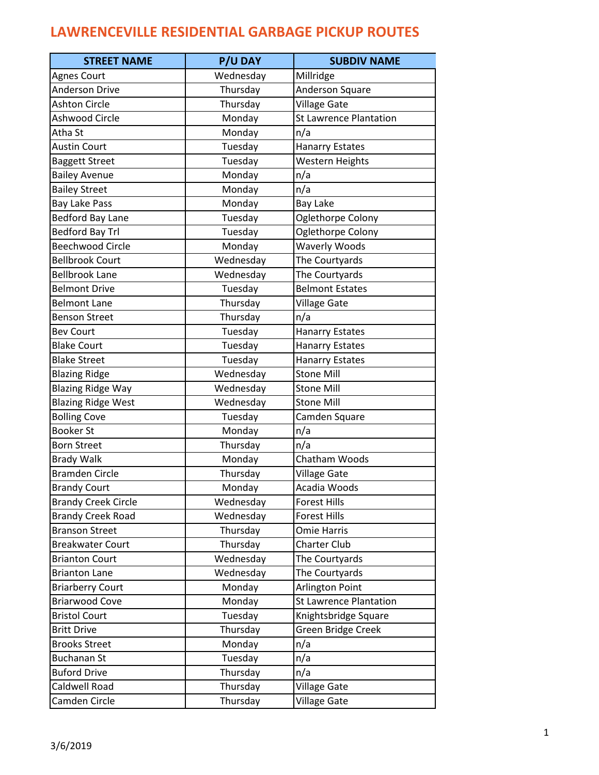| <b>STREET NAME</b>         | <b>P/U DAY</b> | <b>SUBDIV NAME</b>            |
|----------------------------|----------------|-------------------------------|
| Agnes Court                | Wednesday      | Millridge                     |
| <b>Anderson Drive</b>      | Thursday       | Anderson Square               |
| <b>Ashton Circle</b>       | Thursday       | <b>Village Gate</b>           |
| Ashwood Circle             | Monday         | <b>St Lawrence Plantation</b> |
| Atha St                    | Monday         | n/a                           |
| <b>Austin Court</b>        | Tuesday        | <b>Hanarry Estates</b>        |
| <b>Baggett Street</b>      | Tuesday        | Western Heights               |
| <b>Bailey Avenue</b>       | Monday         | n/a                           |
| <b>Bailey Street</b>       | Monday         | n/a                           |
| <b>Bay Lake Pass</b>       | Monday         | <b>Bay Lake</b>               |
| <b>Bedford Bay Lane</b>    | Tuesday        | Oglethorpe Colony             |
| <b>Bedford Bay Trl</b>     | Tuesday        | Oglethorpe Colony             |
| <b>Beechwood Circle</b>    | Monday         | <b>Waverly Woods</b>          |
| <b>Bellbrook Court</b>     | Wednesday      | The Courtyards                |
| <b>Bellbrook Lane</b>      | Wednesday      | The Courtyards                |
| <b>Belmont Drive</b>       | Tuesday        | <b>Belmont Estates</b>        |
| <b>Belmont Lane</b>        | Thursday       | <b>Village Gate</b>           |
| <b>Benson Street</b>       | Thursday       | n/a                           |
| <b>Bev Court</b>           | Tuesday        | <b>Hanarry Estates</b>        |
| <b>Blake Court</b>         | Tuesday        | <b>Hanarry Estates</b>        |
| <b>Blake Street</b>        | Tuesday        | <b>Hanarry Estates</b>        |
| <b>Blazing Ridge</b>       | Wednesday      | <b>Stone Mill</b>             |
| <b>Blazing Ridge Way</b>   | Wednesday      | <b>Stone Mill</b>             |
| <b>Blazing Ridge West</b>  | Wednesday      | <b>Stone Mill</b>             |
| <b>Bolling Cove</b>        | Tuesday        | Camden Square                 |
| <b>Booker St</b>           | Monday         | n/a                           |
| Born Street                | Thursday       | n/a                           |
| <b>Brady Walk</b>          | Monday         | Chatham Woods                 |
| <b>Bramden Circle</b>      | Thursday       | <b>Village Gate</b>           |
| <b>Brandy Court</b>        | Monday         | Acadia Woods                  |
| <b>Brandy Creek Circle</b> | Wednesday      | <b>Forest Hills</b>           |
| <b>Brandy Creek Road</b>   | Wednesday      | <b>Forest Hills</b>           |
| <b>Branson Street</b>      | Thursday       | Omie Harris                   |
| <b>Breakwater Court</b>    | Thursday       | <b>Charter Club</b>           |
| <b>Brianton Court</b>      | Wednesday      | The Courtyards                |
| <b>Brianton Lane</b>       | Wednesday      | The Courtyards                |
| <b>Briarberry Court</b>    | Monday         | Arlington Point               |
| <b>Briarwood Cove</b>      | Monday         | <b>St Lawrence Plantation</b> |
| <b>Bristol Court</b>       | Tuesday        | Knightsbridge Square          |
| <b>Britt Drive</b>         | Thursday       | Green Bridge Creek            |
| <b>Brooks Street</b>       | Monday         | n/a                           |
| <b>Buchanan St</b>         | Tuesday        | n/a                           |
| <b>Buford Drive</b>        | Thursday       | n/a                           |
| Caldwell Road              | Thursday       | <b>Village Gate</b>           |
| Camden Circle              | Thursday       | <b>Village Gate</b>           |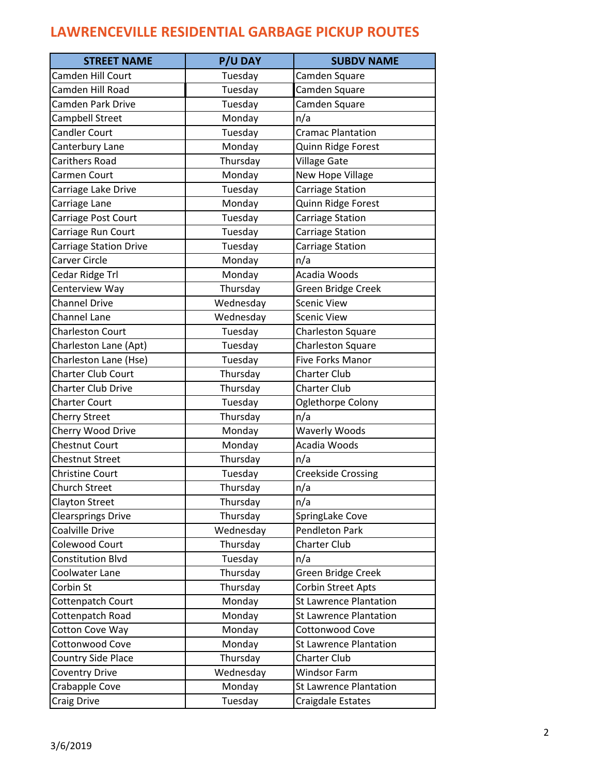| <b>STREET NAME</b>            | <b>P/U DAY</b> | <b>SUBDV NAME</b>             |
|-------------------------------|----------------|-------------------------------|
| Camden Hill Court             | Tuesday        | Camden Square                 |
| Camden Hill Road              | Tuesday        | Camden Square                 |
| Camden Park Drive             | Tuesday        | Camden Square                 |
| Campbell Street               | Monday         | n/a                           |
| <b>Candler Court</b>          | Tuesday        | <b>Cramac Plantation</b>      |
| Canterbury Lane               | Monday         | Quinn Ridge Forest            |
| Carithers Road                | Thursday       | <b>Village Gate</b>           |
| Carmen Court                  | Monday         | New Hope Village              |
| Carriage Lake Drive           | Tuesday        | Carriage Station              |
| Carriage Lane                 | Monday         | Quinn Ridge Forest            |
| Carriage Post Court           | Tuesday        | Carriage Station              |
| Carriage Run Court            | Tuesday        | Carriage Station              |
| <b>Carriage Station Drive</b> | Tuesday        | Carriage Station              |
| Carver Circle                 | Monday         | n/a                           |
| Cedar Ridge Trl               | Monday         | Acadia Woods                  |
| Centerview Way                | Thursday       | Green Bridge Creek            |
| <b>Channel Drive</b>          | Wednesday      | <b>Scenic View</b>            |
| <b>Channel Lane</b>           | Wednesday      | <b>Scenic View</b>            |
| <b>Charleston Court</b>       | Tuesday        | Charleston Square             |
| Charleston Lane (Apt)         | Tuesday        | <b>Charleston Square</b>      |
| Charleston Lane (Hse)         | Tuesday        | Five Forks Manor              |
| <b>Charter Club Court</b>     | Thursday       | <b>Charter Club</b>           |
| <b>Charter Club Drive</b>     | Thursday       | <b>Charter Club</b>           |
| <b>Charter Court</b>          | Tuesday        | Oglethorpe Colony             |
| <b>Cherry Street</b>          | Thursday       | n/a                           |
| Cherry Wood Drive             | Monday         | <b>Waverly Woods</b>          |
| <b>Chestnut Court</b>         | Monday         | Acadia Woods                  |
| <b>Chestnut Street</b>        | Thursday       | n/a                           |
| <b>Christine Court</b>        | Tuesday        | <b>Creekside Crossing</b>     |
| Church Street                 | Thursday       | n/a                           |
| <b>Clayton Street</b>         | Thursday       | n/a                           |
| <b>Clearsprings Drive</b>     | Thursday       | SpringLake Cove               |
| Coalville Drive               | Wednesday      | <b>Pendleton Park</b>         |
| Colewood Court                | Thursday       | <b>Charter Club</b>           |
| <b>Constitution Blvd</b>      | Tuesday        | n/a                           |
| Coolwater Lane                | Thursday       | Green Bridge Creek            |
| Corbin St                     | Thursday       | <b>Corbin Street Apts</b>     |
| Cottenpatch Court             | Monday         | <b>St Lawrence Plantation</b> |
| Cottenpatch Road              | Monday         | <b>St Lawrence Plantation</b> |
| Cotton Cove Way               | Monday         | Cottonwood Cove               |
| Cottonwood Cove               | Monday         | <b>St Lawrence Plantation</b> |
| Country Side Place            | Thursday       | <b>Charter Club</b>           |
| <b>Coventry Drive</b>         | Wednesday      | <b>Windsor Farm</b>           |
| Crabapple Cove                | Monday         | <b>St Lawrence Plantation</b> |
| Craig Drive                   | Tuesday        | Craigdale Estates             |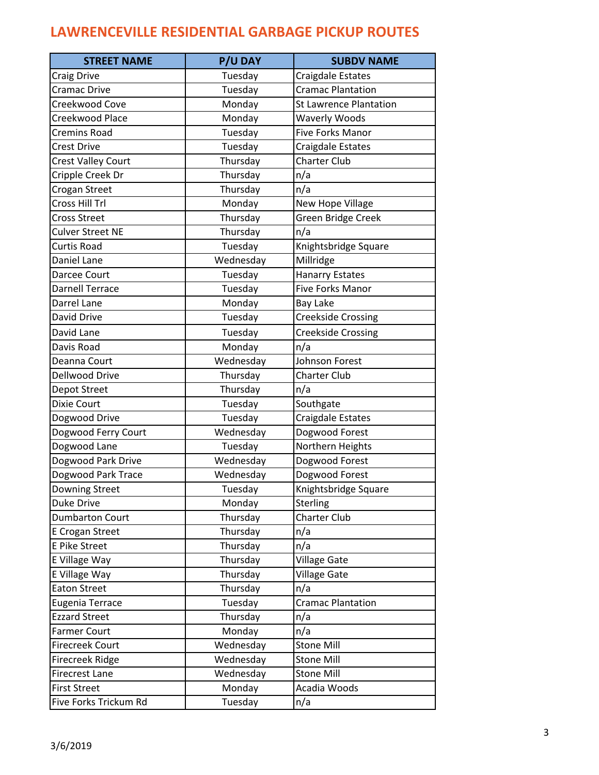| <b>STREET NAME</b>        | <b>P/U DAY</b> | <b>SUBDV NAME</b>             |
|---------------------------|----------------|-------------------------------|
| Craig Drive               | Tuesday        | Craigdale Estates             |
| Cramac Drive              | Tuesday        | <b>Cramac Plantation</b>      |
| Creekwood Cove            | Monday         | <b>St Lawrence Plantation</b> |
| Creekwood Place           | Monday         | <b>Waverly Woods</b>          |
| <b>Cremins Road</b>       | Tuesday        | Five Forks Manor              |
| Crest Drive               | Tuesday        | Craigdale Estates             |
| <b>Crest Valley Court</b> | Thursday       | <b>Charter Club</b>           |
| Cripple Creek Dr          | Thursday       | n/a                           |
| Crogan Street             | Thursday       | n/a                           |
| Cross Hill Trl            | Monday         | <b>New Hope Village</b>       |
| <b>Cross Street</b>       | Thursday       | Green Bridge Creek            |
| Culver Street NE          | Thursday       | n/a                           |
| Curtis Road               | Tuesday        | Knightsbridge Square          |
| Daniel Lane               | Wednesday      | Millridge                     |
| Darcee Court              | Tuesday        | <b>Hanarry Estates</b>        |
| <b>Darnell Terrace</b>    | Tuesday        | <b>Five Forks Manor</b>       |
| Darrel Lane               | Monday         | <b>Bay Lake</b>               |
| David Drive               | Tuesday        | <b>Creekside Crossing</b>     |
| David Lane                | Tuesday        | <b>Creekside Crossing</b>     |
| Davis Road                | Monday         | n/a                           |
| Deanna Court              | Wednesday      | Johnson Forest                |
| Dellwood Drive            | Thursday       | <b>Charter Club</b>           |
| Depot Street              | Thursday       | n/a                           |
| Dixie Court               | Tuesday        | Southgate                     |
| Dogwood Drive             | Tuesday        | Craigdale Estates             |
| Dogwood Ferry Court       | Wednesday      | Dogwood Forest                |
| Dogwood Lane              | Tuesday        | Northern Heights              |
| Dogwood Park Drive        | Wednesday      | Dogwood Forest                |
| Dogwood Park Trace        | Wednesday      | Dogwood Forest                |
| Downing Street            | Tuesday        | Knightsbridge Square          |
| Duke Drive                | Monday         | <b>Sterling</b>               |
| <b>Dumbarton Court</b>    | Thursday       | <b>Charter Club</b>           |
| <b>E Crogan Street</b>    | Thursday       | n/a                           |
| E Pike Street             | Thursday       | n/a                           |
| E Village Way             | Thursday       | <b>Village Gate</b>           |
| E Village Way             | Thursday       | <b>Village Gate</b>           |
| <b>Eaton Street</b>       | Thursday       | n/a                           |
| Eugenia Terrace           | Tuesday        | <b>Cramac Plantation</b>      |
| <b>Ezzard Street</b>      | Thursday       | n/a                           |
| <b>Farmer Court</b>       | Monday         | n/a                           |
| Firecreek Court           | Wednesday      | <b>Stone Mill</b>             |
| Firecreek Ridge           | Wednesday      | <b>Stone Mill</b>             |
| <b>Firecrest Lane</b>     | Wednesday      | <b>Stone Mill</b>             |
| <b>First Street</b>       | Monday         | Acadia Woods                  |
| Five Forks Trickum Rd     | Tuesday        | n/a                           |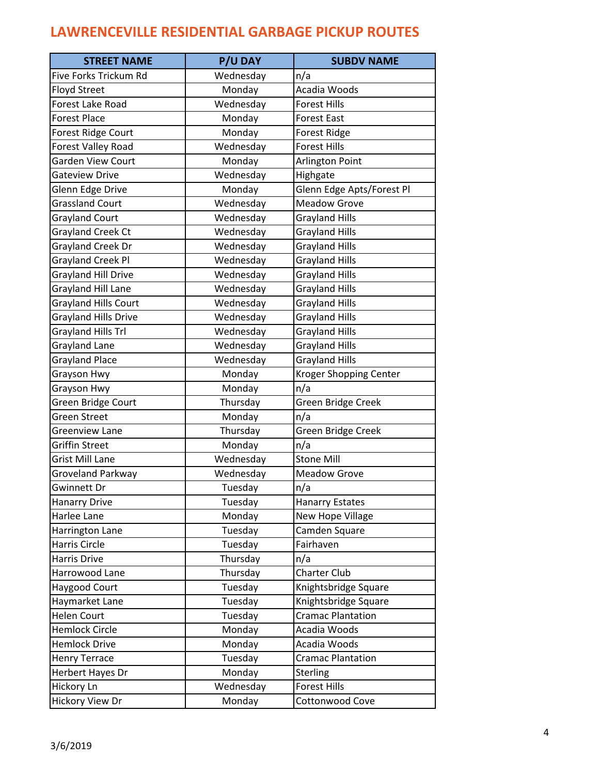| <b>STREET NAME</b>          | <b>P/U DAY</b> | <b>SUBDV NAME</b>         |
|-----------------------------|----------------|---------------------------|
| Five Forks Trickum Rd       | Wednesday      | n/a                       |
| <b>Floyd Street</b>         | Monday         | Acadia Woods              |
| <b>Forest Lake Road</b>     | Wednesday      | <b>Forest Hills</b>       |
| <b>Forest Place</b>         | Monday         | <b>Forest East</b>        |
| Forest Ridge Court          | Monday         | Forest Ridge              |
| Forest Valley Road          | Wednesday      | <b>Forest Hills</b>       |
| <b>Garden View Court</b>    | Monday         | Arlington Point           |
| Gateview Drive              | Wednesday      | Highgate                  |
| Glenn Edge Drive            | Monday         | Glenn Edge Apts/Forest Pl |
| <b>Grassland Court</b>      | Wednesday      | <b>Meadow Grove</b>       |
| <b>Grayland Court</b>       | Wednesday      | <b>Grayland Hills</b>     |
| Grayland Creek Ct           | Wednesday      | <b>Grayland Hills</b>     |
| Grayland Creek Dr           | Wednesday      | <b>Grayland Hills</b>     |
| <b>Grayland Creek Pl</b>    | Wednesday      | <b>Grayland Hills</b>     |
| <b>Grayland Hill Drive</b>  | Wednesday      | <b>Grayland Hills</b>     |
| Grayland Hill Lane          | Wednesday      | <b>Grayland Hills</b>     |
| <b>Grayland Hills Court</b> | Wednesday      | <b>Grayland Hills</b>     |
| <b>Grayland Hills Drive</b> | Wednesday      | <b>Grayland Hills</b>     |
| Grayland Hills Trl          | Wednesday      | <b>Grayland Hills</b>     |
| Grayland Lane               | Wednesday      | <b>Grayland Hills</b>     |
| Grayland Place              | Wednesday      | <b>Grayland Hills</b>     |
| Grayson Hwy                 | Monday         | Kroger Shopping Center    |
| Grayson Hwy                 | Monday         | n/a                       |
| Green Bridge Court          | Thursday       | Green Bridge Creek        |
| Green Street                | Monday         | n/a                       |
| Greenview Lane              | Thursday       | Green Bridge Creek        |
| Griffin Street              | Monday         | n/a                       |
| <b>Grist Mill Lane</b>      | Wednesday      | <b>Stone Mill</b>         |
| Groveland Parkway           | Wednesday      | <b>Meadow Grove</b>       |
| Gwinnett Dr                 | Tuesday        | n/a                       |
| <b>Hanarry Drive</b>        | Tuesday        | <b>Hanarry Estates</b>    |
| Harlee Lane                 | Monday         | New Hope Village          |
| Harrington Lane             | Tuesday        | Camden Square             |
| Harris Circle               | Tuesday        | Fairhaven                 |
| Harris Drive                | Thursday       | n/a                       |
| Harrowood Lane              | Thursday       | Charter Club              |
| Haygood Court               | Tuesday        | Knightsbridge Square      |
| Haymarket Lane              | Tuesday        | Knightsbridge Square      |
| <b>Helen Court</b>          | Tuesday        | <b>Cramac Plantation</b>  |
| <b>Hemlock Circle</b>       | Monday         | Acadia Woods              |
| <b>Hemlock Drive</b>        | Monday         | Acadia Woods              |
| <b>Henry Terrace</b>        | Tuesday        | <b>Cramac Plantation</b>  |
| Herbert Hayes Dr            | Monday         | <b>Sterling</b>           |
| Hickory Ln                  | Wednesday      | <b>Forest Hills</b>       |
| Hickory View Dr             | Monday         | Cottonwood Cove           |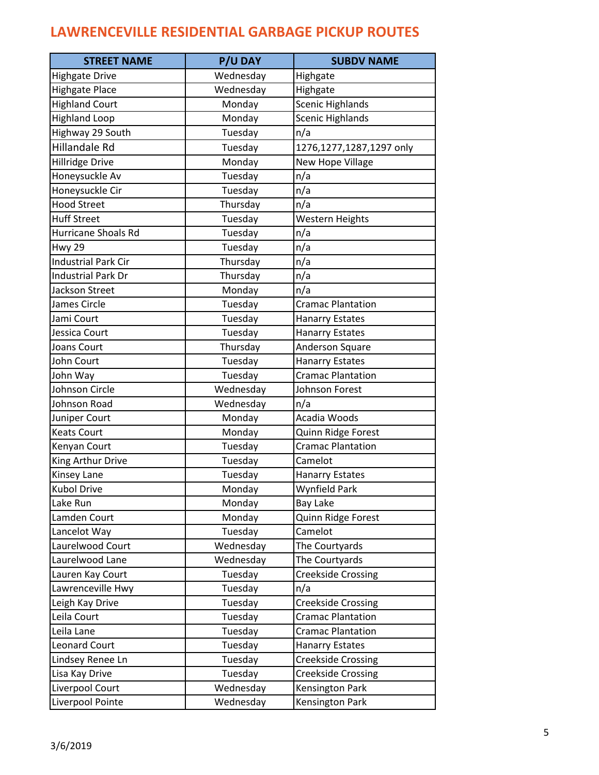| <b>STREET NAME</b>         | <b>P/U DAY</b> | <b>SUBDV NAME</b>         |
|----------------------------|----------------|---------------------------|
| <b>Highgate Drive</b>      | Wednesday      | Highgate                  |
| <b>Highgate Place</b>      | Wednesday      | Highgate                  |
| <b>Highland Court</b>      | Monday         | <b>Scenic Highlands</b>   |
| <b>Highland Loop</b>       | Monday         | <b>Scenic Highlands</b>   |
| Highway 29 South           | Tuesday        | n/a                       |
| <b>Hillandale Rd</b>       | Tuesday        | 1276,1277,1287,1297 only  |
| Hillridge Drive            | Monday         | New Hope Village          |
| Honeysuckle Av             | Tuesday        | n/a                       |
| Honeysuckle Cir            | Tuesday        | n/a                       |
| <b>Hood Street</b>         | Thursday       | n/a                       |
| <b>Huff Street</b>         | Tuesday        | Western Heights           |
| Hurricane Shoals Rd        | Tuesday        | n/a                       |
| <b>Hwy 29</b>              | Tuesday        | n/a                       |
| <b>Industrial Park Cir</b> | Thursday       | n/a                       |
| <b>Industrial Park Dr</b>  | Thursday       | n/a                       |
| <b>Jackson Street</b>      | Monday         | n/a                       |
| James Circle               | Tuesday        | <b>Cramac Plantation</b>  |
| Jami Court                 | Tuesday        | <b>Hanarry Estates</b>    |
| Jessica Court              | Tuesday        | <b>Hanarry Estates</b>    |
| Joans Court                | Thursday       | Anderson Square           |
| John Court                 | Tuesday        | <b>Hanarry Estates</b>    |
| John Way                   | Tuesday        | <b>Cramac Plantation</b>  |
| Johnson Circle             | Wednesday      | Johnson Forest            |
| Johnson Road               | Wednesday      | n/a                       |
| Juniper Court              | Monday         | Acadia Woods              |
| <b>Keats Court</b>         | Monday         | Quinn Ridge Forest        |
| Kenyan Court               | Tuesday        | <b>Cramac Plantation</b>  |
| King Arthur Drive          | Tuesday        | Camelot                   |
| Kinsey Lane                | Tuesday        | <b>Hanarry Estates</b>    |
| <b>Kubol Drive</b>         | Monday         | <b>Wynfield Park</b>      |
| Lake Run                   | Monday         | <b>Bay Lake</b>           |
| Lamden Court               | Monday         | Quinn Ridge Forest        |
| Lancelot Way               | Tuesday        | Camelot                   |
| Laurelwood Court           | Wednesday      | The Courtyards            |
| Laurelwood Lane            | Wednesday      | The Courtyards            |
| Lauren Kay Court           | Tuesday        | <b>Creekside Crossing</b> |
| Lawrenceville Hwy          | Tuesday        | n/a                       |
| Leigh Kay Drive            | Tuesday        | <b>Creekside Crossing</b> |
| Leila Court                | Tuesday        | Cramac Plantation         |
| Leila Lane                 | Tuesday        | <b>Cramac Plantation</b>  |
| <b>Leonard Court</b>       | Tuesday        | <b>Hanarry Estates</b>    |
| Lindsey Renee Ln           | Tuesday        | <b>Creekside Crossing</b> |
| Lisa Kay Drive             | Tuesday        | <b>Creekside Crossing</b> |
| Liverpool Court            | Wednesday      | Kensington Park           |
| Liverpool Pointe           | Wednesday      | Kensington Park           |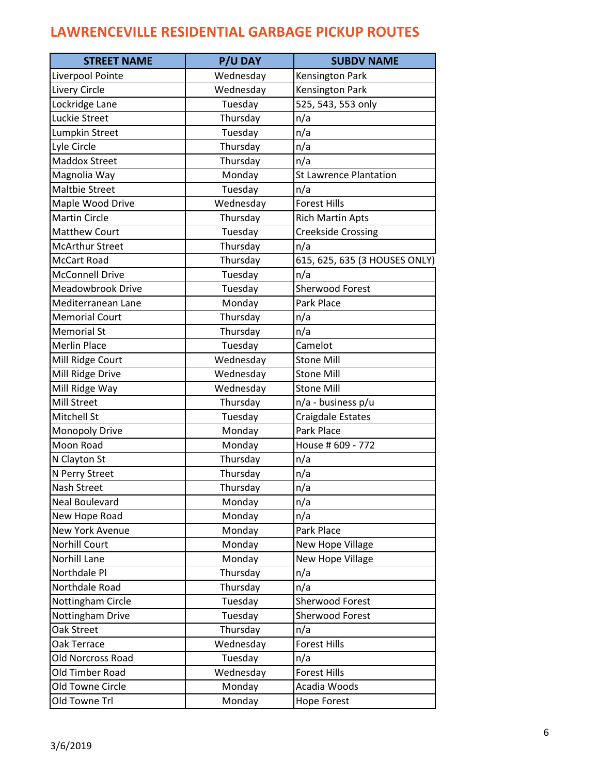| <b>STREET NAME</b>     | <b>P/U DAY</b> | <b>SUBDV NAME</b>             |
|------------------------|----------------|-------------------------------|
| Liverpool Pointe       | Wednesday      | Kensington Park               |
| Livery Circle          | Wednesday      | Kensington Park               |
| Lockridge Lane         | Tuesday        | 525, 543, 553 only            |
| Luckie Street          | Thursday       | n/a                           |
| Lumpkin Street         | Tuesday        | n/a                           |
| Lyle Circle            | Thursday       | n/a                           |
| <b>Maddox Street</b>   | Thursday       | n/a                           |
| Magnolia Way           | Monday         | <b>St Lawrence Plantation</b> |
| <b>Maltbie Street</b>  | Tuesday        | n/a                           |
| Maple Wood Drive       | Wednesday      | <b>Forest Hills</b>           |
| <b>Martin Circle</b>   | Thursday       | <b>Rich Martin Apts</b>       |
| <b>Matthew Court</b>   | Tuesday        | <b>Creekside Crossing</b>     |
| <b>McArthur Street</b> | Thursday       | n/a                           |
| <b>McCart Road</b>     | Thursday       | 615, 625, 635 (3 HOUSES ONLY) |
| <b>McConnell Drive</b> | Tuesday        | n/a                           |
| Meadowbrook Drive      | Tuesday        | Sherwood Forest               |
| Mediterranean Lane     | Monday         | Park Place                    |
| <b>Memorial Court</b>  | Thursday       | n/a                           |
| <b>Memorial St</b>     | Thursday       | n/a                           |
| <b>Merlin Place</b>    | Tuesday        | Camelot                       |
| Mill Ridge Court       | Wednesday      | <b>Stone Mill</b>             |
| Mill Ridge Drive       | Wednesday      | <b>Stone Mill</b>             |
| Mill Ridge Way         | Wednesday      | <b>Stone Mill</b>             |
| Mill Street            | Thursday       | n/a - business p/u            |
| Mitchell St            | Tuesday        | Craigdale Estates             |
| <b>Monopoly Drive</b>  | Monday         | Park Place                    |
| Moon Road              | Monday         | House # 609 - 772             |
| N Clayton St           | Thursday       | n/a                           |
| N Perry Street         | Thursday       | n/a                           |
| Nash Street            | Thursday       | n/a                           |
| <b>Neal Boulevard</b>  | Monday         | n/a                           |
| New Hope Road          | Monday         | n/a                           |
| New York Avenue        | Monday         | Park Place                    |
| <b>Norhill Court</b>   | Monday         | New Hope Village              |
| Norhill Lane           | Monday         | New Hope Village              |
| Northdale Pl           | Thursday       | n/a                           |
| Northdale Road         | Thursday       | n/a                           |
| Nottingham Circle      | Tuesday        | <b>Sherwood Forest</b>        |
| Nottingham Drive       | Tuesday        | <b>Sherwood Forest</b>        |
| Oak Street             | Thursday       | n/a                           |
| Oak Terrace            | Wednesday      | <b>Forest Hills</b>           |
| Old Norcross Road      | Tuesday        | n/a                           |
| Old Timber Road        | Wednesday      | <b>Forest Hills</b>           |
| Old Towne Circle       | Monday         | Acadia Woods                  |
| Old Towne Trl          | Monday         | <b>Hope Forest</b>            |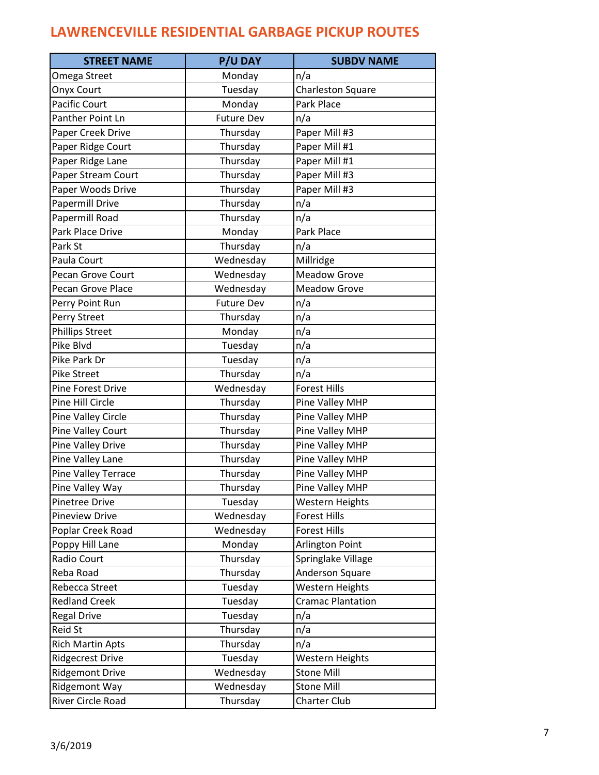| Omega Street<br>Monday<br>n/a<br>Tuesday<br>Charleston Square<br><b>Onyx Court</b><br><b>Pacific Court</b><br>Monday<br>Park Place<br><b>Panther Point Ln</b><br><b>Future Dev</b><br>n/a<br>Paper Mill #3<br>Paper Creek Drive<br>Thursday<br>Paper Ridge Court<br>Thursday<br>Paper Mill #1<br>Paper Ridge Lane<br>Thursday<br>Paper Mill #1<br>Paper Mill #3<br>Paper Stream Court<br>Thursday<br>Paper Mill #3<br>Paper Woods Drive<br>Thursday<br>Thursday<br>Papermill Drive<br>n/a<br>Papermill Road<br>Thursday<br>n/a<br>Park Place<br>Park Place Drive<br>Monday<br>Thursday<br>Park St<br>n/a<br>Wednesday<br>Millridge<br>Paula Court<br>Wednesday<br><b>Meadow Grove</b><br>Pecan Grove Court<br>Pecan Grove Place<br>Wednesday<br><b>Meadow Grove</b><br><b>Future Dev</b><br>n/a<br>Perry Point Run<br>Perry Street<br>n/a<br>Thursday<br><b>Phillips Street</b><br>n/a<br>Monday<br>Pike Blvd<br>Tuesday<br>n/a<br>Pike Park Dr<br>Tuesday<br>n/a<br>Thursday<br><b>Pike Street</b><br>n/a<br><b>Forest Hills</b><br>Pine Forest Drive<br>Wednesday<br>Pine Hill Circle<br>Thursday<br>Pine Valley MHP<br>Thursday<br>Pine Valley MHP<br>Pine Valley Circle<br>Thursday<br><b>Pine Valley Court</b><br>Pine Valley MHP<br><b>Pine Valley Drive</b><br>Thursday<br>Pine Valley MHP<br>Pine Valley MHP<br>Pine Valley Lane<br>Thursday<br>Thursday<br>Pine Valley MHP<br>Pine Valley Terrace<br>Pine Valley Way<br>Pine Valley MHP<br>Thursday<br><b>Western Heights</b><br><b>Pinetree Drive</b><br>Tuesday<br><b>Pineview Drive</b><br>Wednesday<br><b>Forest Hills</b><br>Wednesday<br><b>Forest Hills</b><br>Poplar Creek Road<br>Poppy Hill Lane<br>Monday<br>Arlington Point<br>Radio Court<br>Thursday<br>Springlake Village<br>Reba Road<br>Thursday<br>Anderson Square<br>Rebecca Street<br>Tuesday<br>Western Heights<br><b>Redland Creek</b><br>Tuesday<br><b>Cramac Plantation</b><br><b>Regal Drive</b><br>Tuesday<br>n/a<br>Thursday<br><b>Reid St</b><br>n/a<br>Thursday<br><b>Rich Martin Apts</b><br>n/a<br><b>Ridgecrest Drive</b><br>Tuesday<br>Western Heights<br><b>Ridgemont Drive</b><br>Wednesday<br><b>Stone Mill</b><br><b>Ridgemont Way</b><br>Wednesday<br><b>Stone Mill</b> | <b>STREET NAME</b> | <b>P/U DAY</b> | <b>SUBDV NAME</b>   |
|------------------------------------------------------------------------------------------------------------------------------------------------------------------------------------------------------------------------------------------------------------------------------------------------------------------------------------------------------------------------------------------------------------------------------------------------------------------------------------------------------------------------------------------------------------------------------------------------------------------------------------------------------------------------------------------------------------------------------------------------------------------------------------------------------------------------------------------------------------------------------------------------------------------------------------------------------------------------------------------------------------------------------------------------------------------------------------------------------------------------------------------------------------------------------------------------------------------------------------------------------------------------------------------------------------------------------------------------------------------------------------------------------------------------------------------------------------------------------------------------------------------------------------------------------------------------------------------------------------------------------------------------------------------------------------------------------------------------------------------------------------------------------------------------------------------------------------------------------------------------------------------------------------------------------------------------------------------------------------------------------------------------------------------------------------------------------------------------------------------------------------------------------------------------------------------------------------------------|--------------------|----------------|---------------------|
|                                                                                                                                                                                                                                                                                                                                                                                                                                                                                                                                                                                                                                                                                                                                                                                                                                                                                                                                                                                                                                                                                                                                                                                                                                                                                                                                                                                                                                                                                                                                                                                                                                                                                                                                                                                                                                                                                                                                                                                                                                                                                                                                                                                                                        |                    |                |                     |
|                                                                                                                                                                                                                                                                                                                                                                                                                                                                                                                                                                                                                                                                                                                                                                                                                                                                                                                                                                                                                                                                                                                                                                                                                                                                                                                                                                                                                                                                                                                                                                                                                                                                                                                                                                                                                                                                                                                                                                                                                                                                                                                                                                                                                        |                    |                |                     |
|                                                                                                                                                                                                                                                                                                                                                                                                                                                                                                                                                                                                                                                                                                                                                                                                                                                                                                                                                                                                                                                                                                                                                                                                                                                                                                                                                                                                                                                                                                                                                                                                                                                                                                                                                                                                                                                                                                                                                                                                                                                                                                                                                                                                                        |                    |                |                     |
|                                                                                                                                                                                                                                                                                                                                                                                                                                                                                                                                                                                                                                                                                                                                                                                                                                                                                                                                                                                                                                                                                                                                                                                                                                                                                                                                                                                                                                                                                                                                                                                                                                                                                                                                                                                                                                                                                                                                                                                                                                                                                                                                                                                                                        |                    |                |                     |
|                                                                                                                                                                                                                                                                                                                                                                                                                                                                                                                                                                                                                                                                                                                                                                                                                                                                                                                                                                                                                                                                                                                                                                                                                                                                                                                                                                                                                                                                                                                                                                                                                                                                                                                                                                                                                                                                                                                                                                                                                                                                                                                                                                                                                        |                    |                |                     |
|                                                                                                                                                                                                                                                                                                                                                                                                                                                                                                                                                                                                                                                                                                                                                                                                                                                                                                                                                                                                                                                                                                                                                                                                                                                                                                                                                                                                                                                                                                                                                                                                                                                                                                                                                                                                                                                                                                                                                                                                                                                                                                                                                                                                                        |                    |                |                     |
|                                                                                                                                                                                                                                                                                                                                                                                                                                                                                                                                                                                                                                                                                                                                                                                                                                                                                                                                                                                                                                                                                                                                                                                                                                                                                                                                                                                                                                                                                                                                                                                                                                                                                                                                                                                                                                                                                                                                                                                                                                                                                                                                                                                                                        |                    |                |                     |
|                                                                                                                                                                                                                                                                                                                                                                                                                                                                                                                                                                                                                                                                                                                                                                                                                                                                                                                                                                                                                                                                                                                                                                                                                                                                                                                                                                                                                                                                                                                                                                                                                                                                                                                                                                                                                                                                                                                                                                                                                                                                                                                                                                                                                        |                    |                |                     |
|                                                                                                                                                                                                                                                                                                                                                                                                                                                                                                                                                                                                                                                                                                                                                                                                                                                                                                                                                                                                                                                                                                                                                                                                                                                                                                                                                                                                                                                                                                                                                                                                                                                                                                                                                                                                                                                                                                                                                                                                                                                                                                                                                                                                                        |                    |                |                     |
|                                                                                                                                                                                                                                                                                                                                                                                                                                                                                                                                                                                                                                                                                                                                                                                                                                                                                                                                                                                                                                                                                                                                                                                                                                                                                                                                                                                                                                                                                                                                                                                                                                                                                                                                                                                                                                                                                                                                                                                                                                                                                                                                                                                                                        |                    |                |                     |
|                                                                                                                                                                                                                                                                                                                                                                                                                                                                                                                                                                                                                                                                                                                                                                                                                                                                                                                                                                                                                                                                                                                                                                                                                                                                                                                                                                                                                                                                                                                                                                                                                                                                                                                                                                                                                                                                                                                                                                                                                                                                                                                                                                                                                        |                    |                |                     |
|                                                                                                                                                                                                                                                                                                                                                                                                                                                                                                                                                                                                                                                                                                                                                                                                                                                                                                                                                                                                                                                                                                                                                                                                                                                                                                                                                                                                                                                                                                                                                                                                                                                                                                                                                                                                                                                                                                                                                                                                                                                                                                                                                                                                                        |                    |                |                     |
|                                                                                                                                                                                                                                                                                                                                                                                                                                                                                                                                                                                                                                                                                                                                                                                                                                                                                                                                                                                                                                                                                                                                                                                                                                                                                                                                                                                                                                                                                                                                                                                                                                                                                                                                                                                                                                                                                                                                                                                                                                                                                                                                                                                                                        |                    |                |                     |
|                                                                                                                                                                                                                                                                                                                                                                                                                                                                                                                                                                                                                                                                                                                                                                                                                                                                                                                                                                                                                                                                                                                                                                                                                                                                                                                                                                                                                                                                                                                                                                                                                                                                                                                                                                                                                                                                                                                                                                                                                                                                                                                                                                                                                        |                    |                |                     |
|                                                                                                                                                                                                                                                                                                                                                                                                                                                                                                                                                                                                                                                                                                                                                                                                                                                                                                                                                                                                                                                                                                                                                                                                                                                                                                                                                                                                                                                                                                                                                                                                                                                                                                                                                                                                                                                                                                                                                                                                                                                                                                                                                                                                                        |                    |                |                     |
|                                                                                                                                                                                                                                                                                                                                                                                                                                                                                                                                                                                                                                                                                                                                                                                                                                                                                                                                                                                                                                                                                                                                                                                                                                                                                                                                                                                                                                                                                                                                                                                                                                                                                                                                                                                                                                                                                                                                                                                                                                                                                                                                                                                                                        |                    |                |                     |
|                                                                                                                                                                                                                                                                                                                                                                                                                                                                                                                                                                                                                                                                                                                                                                                                                                                                                                                                                                                                                                                                                                                                                                                                                                                                                                                                                                                                                                                                                                                                                                                                                                                                                                                                                                                                                                                                                                                                                                                                                                                                                                                                                                                                                        |                    |                |                     |
|                                                                                                                                                                                                                                                                                                                                                                                                                                                                                                                                                                                                                                                                                                                                                                                                                                                                                                                                                                                                                                                                                                                                                                                                                                                                                                                                                                                                                                                                                                                                                                                                                                                                                                                                                                                                                                                                                                                                                                                                                                                                                                                                                                                                                        |                    |                |                     |
|                                                                                                                                                                                                                                                                                                                                                                                                                                                                                                                                                                                                                                                                                                                                                                                                                                                                                                                                                                                                                                                                                                                                                                                                                                                                                                                                                                                                                                                                                                                                                                                                                                                                                                                                                                                                                                                                                                                                                                                                                                                                                                                                                                                                                        |                    |                |                     |
|                                                                                                                                                                                                                                                                                                                                                                                                                                                                                                                                                                                                                                                                                                                                                                                                                                                                                                                                                                                                                                                                                                                                                                                                                                                                                                                                                                                                                                                                                                                                                                                                                                                                                                                                                                                                                                                                                                                                                                                                                                                                                                                                                                                                                        |                    |                |                     |
|                                                                                                                                                                                                                                                                                                                                                                                                                                                                                                                                                                                                                                                                                                                                                                                                                                                                                                                                                                                                                                                                                                                                                                                                                                                                                                                                                                                                                                                                                                                                                                                                                                                                                                                                                                                                                                                                                                                                                                                                                                                                                                                                                                                                                        |                    |                |                     |
|                                                                                                                                                                                                                                                                                                                                                                                                                                                                                                                                                                                                                                                                                                                                                                                                                                                                                                                                                                                                                                                                                                                                                                                                                                                                                                                                                                                                                                                                                                                                                                                                                                                                                                                                                                                                                                                                                                                                                                                                                                                                                                                                                                                                                        |                    |                |                     |
|                                                                                                                                                                                                                                                                                                                                                                                                                                                                                                                                                                                                                                                                                                                                                                                                                                                                                                                                                                                                                                                                                                                                                                                                                                                                                                                                                                                                                                                                                                                                                                                                                                                                                                                                                                                                                                                                                                                                                                                                                                                                                                                                                                                                                        |                    |                |                     |
|                                                                                                                                                                                                                                                                                                                                                                                                                                                                                                                                                                                                                                                                                                                                                                                                                                                                                                                                                                                                                                                                                                                                                                                                                                                                                                                                                                                                                                                                                                                                                                                                                                                                                                                                                                                                                                                                                                                                                                                                                                                                                                                                                                                                                        |                    |                |                     |
|                                                                                                                                                                                                                                                                                                                                                                                                                                                                                                                                                                                                                                                                                                                                                                                                                                                                                                                                                                                                                                                                                                                                                                                                                                                                                                                                                                                                                                                                                                                                                                                                                                                                                                                                                                                                                                                                                                                                                                                                                                                                                                                                                                                                                        |                    |                |                     |
|                                                                                                                                                                                                                                                                                                                                                                                                                                                                                                                                                                                                                                                                                                                                                                                                                                                                                                                                                                                                                                                                                                                                                                                                                                                                                                                                                                                                                                                                                                                                                                                                                                                                                                                                                                                                                                                                                                                                                                                                                                                                                                                                                                                                                        |                    |                |                     |
|                                                                                                                                                                                                                                                                                                                                                                                                                                                                                                                                                                                                                                                                                                                                                                                                                                                                                                                                                                                                                                                                                                                                                                                                                                                                                                                                                                                                                                                                                                                                                                                                                                                                                                                                                                                                                                                                                                                                                                                                                                                                                                                                                                                                                        |                    |                |                     |
|                                                                                                                                                                                                                                                                                                                                                                                                                                                                                                                                                                                                                                                                                                                                                                                                                                                                                                                                                                                                                                                                                                                                                                                                                                                                                                                                                                                                                                                                                                                                                                                                                                                                                                                                                                                                                                                                                                                                                                                                                                                                                                                                                                                                                        |                    |                |                     |
|                                                                                                                                                                                                                                                                                                                                                                                                                                                                                                                                                                                                                                                                                                                                                                                                                                                                                                                                                                                                                                                                                                                                                                                                                                                                                                                                                                                                                                                                                                                                                                                                                                                                                                                                                                                                                                                                                                                                                                                                                                                                                                                                                                                                                        |                    |                |                     |
|                                                                                                                                                                                                                                                                                                                                                                                                                                                                                                                                                                                                                                                                                                                                                                                                                                                                                                                                                                                                                                                                                                                                                                                                                                                                                                                                                                                                                                                                                                                                                                                                                                                                                                                                                                                                                                                                                                                                                                                                                                                                                                                                                                                                                        |                    |                |                     |
|                                                                                                                                                                                                                                                                                                                                                                                                                                                                                                                                                                                                                                                                                                                                                                                                                                                                                                                                                                                                                                                                                                                                                                                                                                                                                                                                                                                                                                                                                                                                                                                                                                                                                                                                                                                                                                                                                                                                                                                                                                                                                                                                                                                                                        |                    |                |                     |
|                                                                                                                                                                                                                                                                                                                                                                                                                                                                                                                                                                                                                                                                                                                                                                                                                                                                                                                                                                                                                                                                                                                                                                                                                                                                                                                                                                                                                                                                                                                                                                                                                                                                                                                                                                                                                                                                                                                                                                                                                                                                                                                                                                                                                        |                    |                |                     |
|                                                                                                                                                                                                                                                                                                                                                                                                                                                                                                                                                                                                                                                                                                                                                                                                                                                                                                                                                                                                                                                                                                                                                                                                                                                                                                                                                                                                                                                                                                                                                                                                                                                                                                                                                                                                                                                                                                                                                                                                                                                                                                                                                                                                                        |                    |                |                     |
|                                                                                                                                                                                                                                                                                                                                                                                                                                                                                                                                                                                                                                                                                                                                                                                                                                                                                                                                                                                                                                                                                                                                                                                                                                                                                                                                                                                                                                                                                                                                                                                                                                                                                                                                                                                                                                                                                                                                                                                                                                                                                                                                                                                                                        |                    |                |                     |
|                                                                                                                                                                                                                                                                                                                                                                                                                                                                                                                                                                                                                                                                                                                                                                                                                                                                                                                                                                                                                                                                                                                                                                                                                                                                                                                                                                                                                                                                                                                                                                                                                                                                                                                                                                                                                                                                                                                                                                                                                                                                                                                                                                                                                        |                    |                |                     |
|                                                                                                                                                                                                                                                                                                                                                                                                                                                                                                                                                                                                                                                                                                                                                                                                                                                                                                                                                                                                                                                                                                                                                                                                                                                                                                                                                                                                                                                                                                                                                                                                                                                                                                                                                                                                                                                                                                                                                                                                                                                                                                                                                                                                                        |                    |                |                     |
|                                                                                                                                                                                                                                                                                                                                                                                                                                                                                                                                                                                                                                                                                                                                                                                                                                                                                                                                                                                                                                                                                                                                                                                                                                                                                                                                                                                                                                                                                                                                                                                                                                                                                                                                                                                                                                                                                                                                                                                                                                                                                                                                                                                                                        |                    |                |                     |
|                                                                                                                                                                                                                                                                                                                                                                                                                                                                                                                                                                                                                                                                                                                                                                                                                                                                                                                                                                                                                                                                                                                                                                                                                                                                                                                                                                                                                                                                                                                                                                                                                                                                                                                                                                                                                                                                                                                                                                                                                                                                                                                                                                                                                        |                    |                |                     |
|                                                                                                                                                                                                                                                                                                                                                                                                                                                                                                                                                                                                                                                                                                                                                                                                                                                                                                                                                                                                                                                                                                                                                                                                                                                                                                                                                                                                                                                                                                                                                                                                                                                                                                                                                                                                                                                                                                                                                                                                                                                                                                                                                                                                                        |                    |                |                     |
|                                                                                                                                                                                                                                                                                                                                                                                                                                                                                                                                                                                                                                                                                                                                                                                                                                                                                                                                                                                                                                                                                                                                                                                                                                                                                                                                                                                                                                                                                                                                                                                                                                                                                                                                                                                                                                                                                                                                                                                                                                                                                                                                                                                                                        |                    |                |                     |
|                                                                                                                                                                                                                                                                                                                                                                                                                                                                                                                                                                                                                                                                                                                                                                                                                                                                                                                                                                                                                                                                                                                                                                                                                                                                                                                                                                                                                                                                                                                                                                                                                                                                                                                                                                                                                                                                                                                                                                                                                                                                                                                                                                                                                        |                    |                |                     |
|                                                                                                                                                                                                                                                                                                                                                                                                                                                                                                                                                                                                                                                                                                                                                                                                                                                                                                                                                                                                                                                                                                                                                                                                                                                                                                                                                                                                                                                                                                                                                                                                                                                                                                                                                                                                                                                                                                                                                                                                                                                                                                                                                                                                                        |                    |                |                     |
|                                                                                                                                                                                                                                                                                                                                                                                                                                                                                                                                                                                                                                                                                                                                                                                                                                                                                                                                                                                                                                                                                                                                                                                                                                                                                                                                                                                                                                                                                                                                                                                                                                                                                                                                                                                                                                                                                                                                                                                                                                                                                                                                                                                                                        |                    |                |                     |
|                                                                                                                                                                                                                                                                                                                                                                                                                                                                                                                                                                                                                                                                                                                                                                                                                                                                                                                                                                                                                                                                                                                                                                                                                                                                                                                                                                                                                                                                                                                                                                                                                                                                                                                                                                                                                                                                                                                                                                                                                                                                                                                                                                                                                        |                    |                |                     |
|                                                                                                                                                                                                                                                                                                                                                                                                                                                                                                                                                                                                                                                                                                                                                                                                                                                                                                                                                                                                                                                                                                                                                                                                                                                                                                                                                                                                                                                                                                                                                                                                                                                                                                                                                                                                                                                                                                                                                                                                                                                                                                                                                                                                                        | River Circle Road  | Thursday       | <b>Charter Club</b> |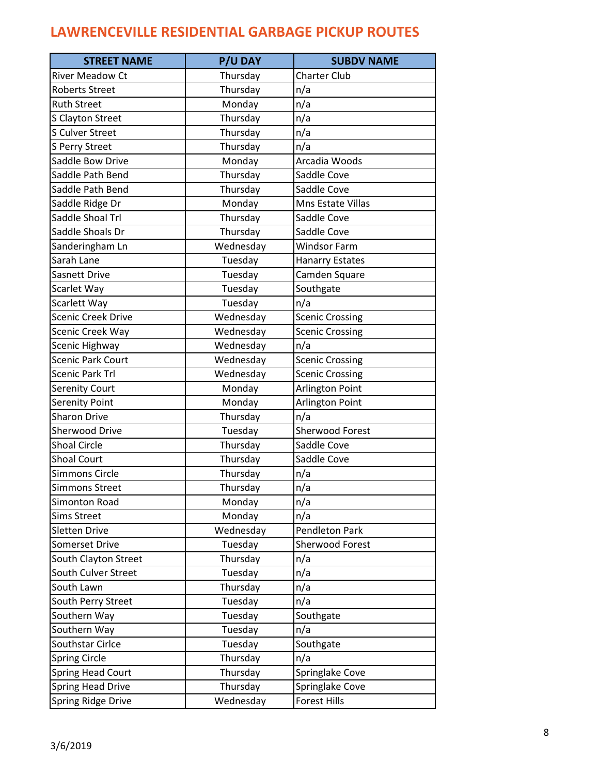| <b>STREET NAME</b>        | <b>P/U DAY</b> | <b>SUBDV NAME</b>      |
|---------------------------|----------------|------------------------|
| <b>River Meadow Ct</b>    | Thursday       | <b>Charter Club</b>    |
| <b>Roberts Street</b>     | Thursday       | n/a                    |
| <b>Ruth Street</b>        | Monday         | n/a                    |
| S Clayton Street          | Thursday       | n/a                    |
| <b>S Culver Street</b>    | Thursday       | n/a                    |
| S Perry Street            | Thursday       | n/a                    |
| Saddle Bow Drive          | Monday         | Arcadia Woods          |
| Saddle Path Bend          | Thursday       | Saddle Cove            |
| Saddle Path Bend          | Thursday       | Saddle Cove            |
| Saddle Ridge Dr           | Monday         | Mns Estate Villas      |
| Saddle Shoal Trl          | Thursday       | Saddle Cove            |
| Saddle Shoals Dr          | Thursday       | Saddle Cove            |
| Sanderingham Ln           | Wednesday      | <b>Windsor Farm</b>    |
| Sarah Lane                | Tuesday        | <b>Hanarry Estates</b> |
| Sasnett Drive             | Tuesday        | Camden Square          |
| Scarlet Way               | Tuesday        | Southgate              |
| Scarlett Way              | Tuesday        | n/a                    |
| <b>Scenic Creek Drive</b> | Wednesday      | <b>Scenic Crossing</b> |
| Scenic Creek Way          | Wednesday      | <b>Scenic Crossing</b> |
| Scenic Highway            | Wednesday      | n/a                    |
| <b>Scenic Park Court</b>  | Wednesday      | <b>Scenic Crossing</b> |
| <b>Scenic Park Trl</b>    | Wednesday      | <b>Scenic Crossing</b> |
| <b>Serenity Court</b>     | Monday         | Arlington Point        |
| Serenity Point            | Monday         | Arlington Point        |
| <b>Sharon Drive</b>       | Thursday       | n/a                    |
| <b>Sherwood Drive</b>     | Tuesday        | Sherwood Forest        |
| <b>Shoal Circle</b>       | Thursday       | Saddle Cove            |
| <b>Shoal Court</b>        | Thursday       | Saddle Cove            |
| <b>Simmons Circle</b>     | Thursday       | n/a                    |
| <b>Simmons Street</b>     | Thursday       | n/a                    |
| Simonton Road             | Monday         | n/a                    |
| <b>Sims Street</b>        | Monday         | n/a                    |
| <b>Sletten Drive</b>      | Wednesday      | <b>Pendleton Park</b>  |
| <b>Somerset Drive</b>     | Tuesday        | <b>Sherwood Forest</b> |
| South Clayton Street      | Thursday       | n/a                    |
| South Culver Street       | Tuesday        | n/a                    |
| South Lawn                | Thursday       | n/a                    |
| South Perry Street        | Tuesday        | n/a                    |
| Southern Way              | Tuesday        | Southgate              |
| Southern Way              | Tuesday        | n/a                    |
| Southstar Cirlce          | Tuesday        | Southgate              |
| <b>Spring Circle</b>      | Thursday       | n/a                    |
| <b>Spring Head Court</b>  | Thursday       | Springlake Cove        |
| <b>Spring Head Drive</b>  | Thursday       | Springlake Cove        |
| Spring Ridge Drive        | Wednesday      | <b>Forest Hills</b>    |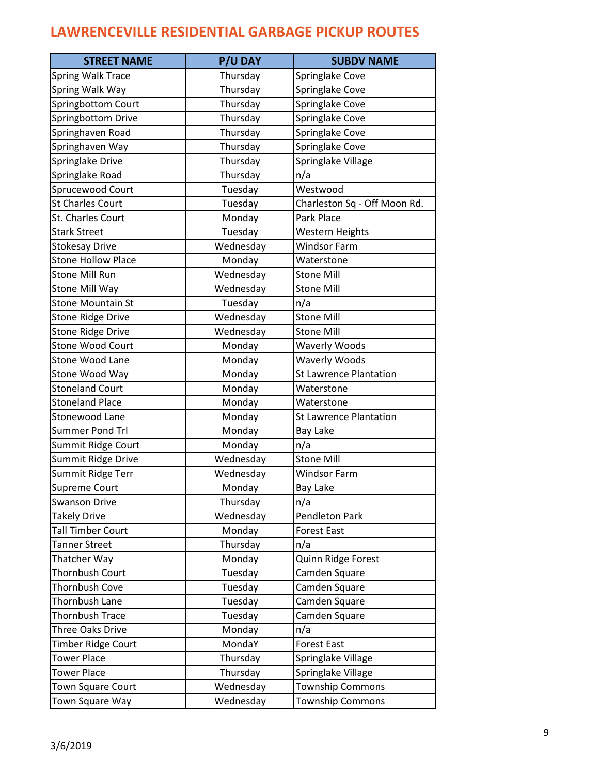| <b>STREET NAME</b>        | <b>P/U DAY</b> | <b>SUBDV NAME</b>             |
|---------------------------|----------------|-------------------------------|
| <b>Spring Walk Trace</b>  | Thursday       | Springlake Cove               |
| Spring Walk Way           | Thursday       | Springlake Cove               |
| Springbottom Court        | Thursday       | Springlake Cove               |
| Springbottom Drive        | Thursday       | Springlake Cove               |
| Springhaven Road          | Thursday       | Springlake Cove               |
| Springhaven Way           | Thursday       | Springlake Cove               |
| Springlake Drive          | Thursday       | Springlake Village            |
| Springlake Road           | Thursday       | n/a                           |
| Sprucewood Court          | Tuesday        | Westwood                      |
| <b>St Charles Court</b>   | Tuesday        | Charleston Sq - Off Moon Rd.  |
| St. Charles Court         | Monday         | Park Place                    |
| <b>Stark Street</b>       | Tuesday        | Western Heights               |
| <b>Stokesay Drive</b>     | Wednesday      | <b>Windsor Farm</b>           |
| <b>Stone Hollow Place</b> | Monday         | Waterstone                    |
| <b>Stone Mill Run</b>     | Wednesday      | <b>Stone Mill</b>             |
| Stone Mill Way            | Wednesday      | <b>Stone Mill</b>             |
| <b>Stone Mountain St</b>  | Tuesday        | n/a                           |
| <b>Stone Ridge Drive</b>  | Wednesday      | <b>Stone Mill</b>             |
| <b>Stone Ridge Drive</b>  | Wednesday      | <b>Stone Mill</b>             |
| <b>Stone Wood Court</b>   | Monday         | <b>Waverly Woods</b>          |
| Stone Wood Lane           | Monday         | <b>Waverly Woods</b>          |
| Stone Wood Way            | Monday         | <b>St Lawrence Plantation</b> |
| <b>Stoneland Court</b>    | Monday         | Waterstone                    |
| <b>Stoneland Place</b>    | Monday         | Waterstone                    |
| <b>Stonewood Lane</b>     | Monday         | <b>St Lawrence Plantation</b> |
| <b>Summer Pond Trl</b>    | Monday         | <b>Bay Lake</b>               |
| Summit Ridge Court        | Monday         | n/a                           |
| Summit Ridge Drive        | Wednesday      | <b>Stone Mill</b>             |
| Summit Ridge Terr         | Wednesday      | <b>Windsor Farm</b>           |
| Supreme Court             | Monday         | Bay Lake                      |
| Swanson Drive             | Thursday       | n/a                           |
| Takely Drive              | Wednesday      | <b>Pendleton Park</b>         |
| <b>Tall Timber Court</b>  | Monday         | <b>Forest East</b>            |
| <b>Tanner Street</b>      | Thursday       | n/a                           |
| Thatcher Way              | Monday         | Quinn Ridge Forest            |
| Thornbush Court           | Tuesday        | Camden Square                 |
| Thornbush Cove            | Tuesday        | Camden Square                 |
| Thornbush Lane            | Tuesday        | Camden Square                 |
| <b>Thornbush Trace</b>    | Tuesday        | Camden Square                 |
| Three Oaks Drive          | Monday         | n/a                           |
| Timber Ridge Court        | MondaY         | <b>Forest East</b>            |
| <b>Tower Place</b>        | Thursday       | Springlake Village            |
| <b>Tower Place</b>        | Thursday       | Springlake Village            |
| <b>Town Square Court</b>  | Wednesday      | <b>Township Commons</b>       |
| Town Square Way           | Wednesday      | <b>Township Commons</b>       |